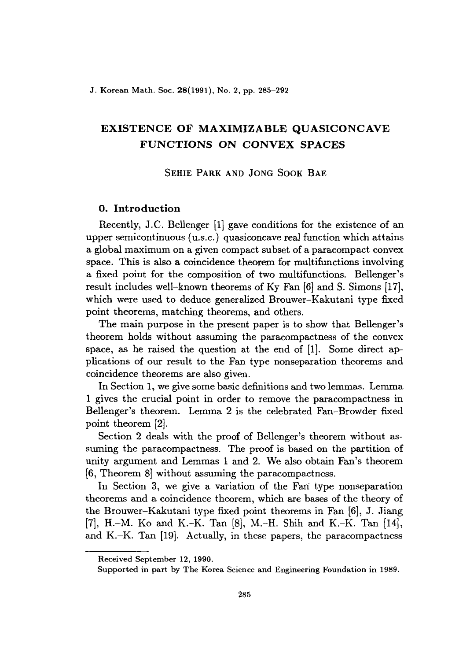# **EXISTENCE OF MAXIMIZABLE QUASICONCAVE FUNCTIONS ON CONVEX SPACES**

SEHIE PARK AND JONG SOOK BAE

# **O. Introduction**

Recently, J.C. Bellenger [1] gave conditions for the existence of an upper semicontinuous (u.s.c.) quasiconcave real function which attains a global maximum on a given compact subset of a paracompact convex space. This is also a coincidence theorem for multifunctions involving a fixed point for the composition of two multifunctions. Bellenger's result includes well-known theorems of Ky Fan [6] and S. Simons [17], which were used to deduce generalized Brouwer-Kakutani type fixed point theorems, matching theorems, and others.

The main purpose in the present paper is to show that Bellenger's theorem holds without assuming the paracompactness of the convex space, as he raised the question at the end of [1]. Some direct applications of our result to the Fan type nonseparation theorems and coincidence theorems are also given.

In Section 1, we give some basic definitions and two lemmas. Lemma 1 gives the crucial point in order to remove the paracompactness in Bellenger's theorem. Lemma 2 is the celebrated Fan-Browder fixed point theorem [2].

Section 2 deals with the proof of Bellenger's theorem without assuming the paracompactness. The proof is based on the partition of unity argument and Lemmas 1 and 2. We also obtain Fan's theorem [6, Theorem 8J without assuming the paracompactness.

In Section 3, we give a variation of the Fan type nonseparation theorems and a coincidence theorem, which are bases of the theory of the Brouwer-Kakutani type fixed point theorems in Fan [6], J. Jiang [7], H.-M. Ko and K.-K. Tan [8], M.-H. Shih and K.-K. Tan [14], and K.-K. Tan [19]. Actually, in these papers, the paracompactness

Received September 12, 1990.

Supported in part by The Korea Science and Engineering Foundation in 1989.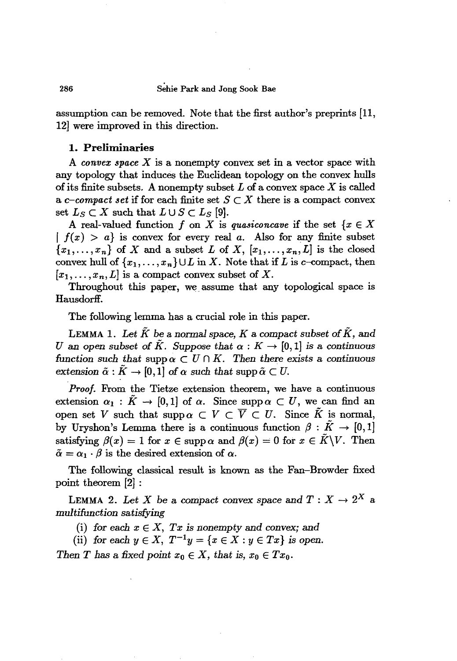### 286 Sehie Park and Jong Sook Bae

assumption can be removed. Note that the first author's preprints [11, 12] were improved in this direction.

## 1. **Preliminaries**

A *convex space X* is a nonempty convex set in a vector space with any topology that induces the Euclidean topology on the convex hulls of its finite subsets. A nonempty subset  $L$  of a convex space  $X$  is called a *c*-compact set if for each finite set  $S \subset X$  there is a compact convex set  $L_S \subset X$  such that  $L \cup S \subset L_S$  [9].

A real-valued function f on X is quasiconcave if the set  $\{x \in X\}$  $| f(x) > a$  is convex for every real *a*. Also for any finite subset  ${x_1, \ldots, x_n}$  of *X* and a subset *L* of *X*,  $[x_1, \ldots, x_n, L]$  is the closed convex hull of  $\{x_1, \ldots, x_n\} \cup L$  in X. Note that if L is c-compact, then  $[x_1, \ldots, x_n, L]$  is a compact convex subset of X.

Throughout this paper, we assume that any topological space is Hausdorff.

The following lemma has a crucial role in this paper.

LEMMA 1. Let  $\tilde{K}$  be a normal space,  $K$  a compact subset of  $\tilde{K}$ , and *U* an open subset of  $\tilde{K}$ . Suppose that  $\alpha : K \to [0,1]$  is a continuous function such that  $\text{supp }\alpha \subset U \cap K$ . Then there exists a continuous *extension*  $\tilde{\alpha}: K \to [0,1]$  *of*  $\alpha$  *such that* supp $\tilde{\alpha} \subset U$ .

*Proof.* From the Tietze extension theorem, we have a continuous extension  $\alpha_1 : \tilde{K} \to [0,1]$  of  $\alpha$ . Since supp $\alpha \subset U$ , we can find an open set V such that supp  $\alpha \subset V \subset \overline{V} \subset U$ . Since  $\tilde{K}$  is normal, by Uryshon's Lemma there is a continuous function  $\beta : K \to [0,1]$ by Uryshon's Lemma there is a continuous function  $\beta: K \to [0,1]$ <br>satisfying  $\beta(x) = 1$  for  $x \in \text{supp } \alpha$  and  $\beta(x) = 0$  for  $x \in \tilde{K} \backslash V$ . Then  $\tilde{\alpha} = \alpha_1 \cdot \beta$  is the desired extension of  $\alpha$ .

The following classical result is known as the Fan-Browder fixed point theorem [2] :

LEMMA 2. Let X be a compact convex space and  $T: X \to 2^X$  a *multifunction satisfying*

(i) for each  $x \in X$ ,  $Tx$  is nonempty and convex; and

(ii) *for* each  $y \in X$ ,  $T^{-1}y = \{x \in X : y \in Tx\}$  *is open.* 

*Then T* has a fixed point  $x_0 \in X$ , that is,  $x_0 \in Tx_0$ .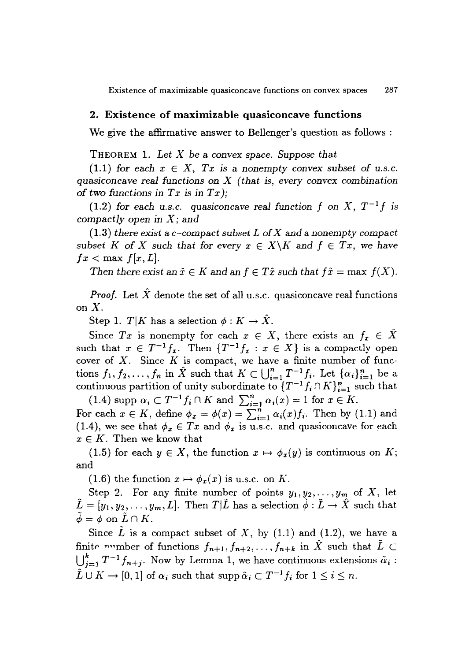Existence of maximizable quasiconcave functions on convex spaces 287

### 2. Existence of maximizable quasiconcave functions

We give the affirmative answer to Bellenger's question as follows:

THEOREM 1. *Let X* be a convex *space. Suppose that*

 $(1.1)$  *for each*  $x \in X$ ,  $Tx$  *is a nonempty convex subset of u.s.c. quasiconcave real functions* on *X (that is, every convex combination* of two functions in  $Tx$  is in  $Tx$ );

(1.2) *for each u.s.c. quasiconcave real function f on X*,  $T^{-1}f$  *is compactly open in X;* and

*(1.3) there exist* a *c-compact subset* L of*X* and a *nonempty compact subset* K of X *such* that for every  $x \in X \backslash K$  and  $f \in Tx$ , we have  $fx < \max f[x, L].$ 

*Then* there exist an  $\hat{x} \in K$  and an  $f \in T\hat{x}$  such that  $f\hat{x} = \max f(X)$ .

*Proof.* Let  $\hat{X}$  denote the set of all u.s.c. quasiconcave real functions *onX.*

Step 1. *T*|*K* has a selection  $\phi: K \to \hat{X}$ .

Since Tx is nonempty for each  $x \in X$ , there exists an  $f_x \in \hat{X}$ such that  $x \in T^{-1} f_x$ . Then  $\{T^{-1} f_x : x \in X\}$  is a compactly open cover of *X.* Since *K* is compact, we have a finite number of functions  $f_1, f_2, \ldots, f_n$  in  $\hat{X}$  such that  $K \subset \bigcup_{i=1}^n T^{-1} f_i$ . Let  $\{\alpha_i\}_{i=1}^n$  be a continuous partition of unity subordinate to  $\{T^{-1}f_i\cap K\}_{i=1}^n$  such that

 $(1.4)$  supp  $\alpha_i \subset T^{-1} f_i \cap K$  and  $\sum_{i=1}^n \alpha_i(x) = 1$  for  $x \in K$ . For each  $x \in K$ , define  $\phi_x = \phi(x) = \sum_{i=1}^n \alpha_i(x) f_i$ . Then by (1.1) and (1.4), we see that  $\phi_x \in Tx$  and  $\phi_x$  is u.s.c. and quasiconcave for each  $x \in K$ . Then we know that

(1.5) for each  $y \in X$ , the function  $x \mapsto \phi_x(y)$  is continuous on *K*; and

(1.6) the function  $x \mapsto \phi_x(x)$  is u.s.c. on *K*.

Step 2. For any finite number of points  $y_1, y_2, \ldots, y_m$  of X, let  $\tilde{L} = [y_1, y_2, \dots, y_m, L]$ . Then  $T|\tilde{L}|\$  has a selection  $\tilde{\phi}: \tilde{L} \to \hat{X}$  such that  $\tilde{\phi} = \phi$  on  $\tilde{L} \cap K$ .

Since  $L$  is a compact subset of  $X$ , by  $(1.1)$  and  $(1.2)$ , we have a finite winder of functions  $f_{n+1}, f_{n+2}, \ldots, f_{n+k}$  in  $\hat{X}$  such that  $\tilde{L} \subset$  $\bigcup_{i=1}^{k} T^{-1} f_{n+j}$ . Now by Lemma 1, we have continuous extensions  $\tilde{\alpha}_i$ :  $\tilde{L} \cup K \to [0,1]$  of  $\alpha_i$  such that supp  $\tilde{\alpha}_i \subset T^{-1} f_i$  for  $1 \leq i \leq n$ .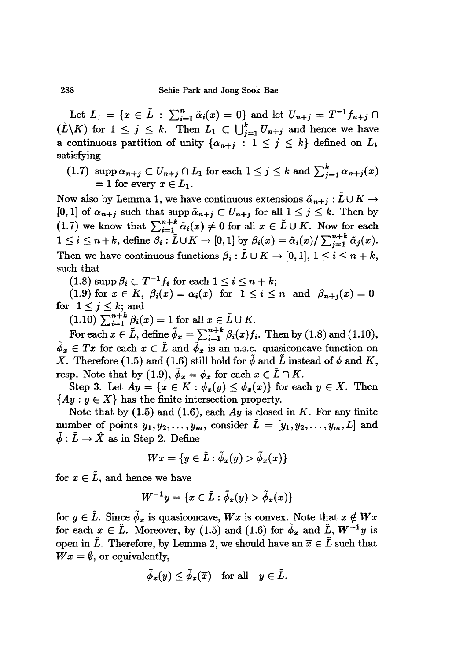288 Sehie Park and Jong Sook Bae

Let  $L_1 = \{x \in \tilde{L} : \sum_{i=1}^n \tilde{\alpha}_i(x) = 0\}$  and let  $U_{n+j} = T^{-1}f_{n+j} \cap$ Let  $L_1 = \{x \in \tilde{L} : \sum_{i=1}^n \tilde{\alpha}_i(x) = 0\}$  and let  $U_{n+j} = T^{-1}f_{n+j} \cap$ <br>  $(\tilde{L}\backslash K)$  for  $1 \le j \le k$ . Then  $L_1 \subset \bigcup_{j=1}^k U_{n+j}$  and hence we have a continuous partition of unity  $\{\alpha_{n+j} : 1 \le j \le k\}$  defined on  $L_1$ satisfying

 $(1.7)$  *supp*  $\alpha_{n+j} \subset U_{n+j} \cap L_1$  for each  $1 \leq j \leq k$  and  $\sum_{j=1}^k \alpha_{n+j}(x)$  $= 1$  for every  $x \in L_1$ .

Now also by Lemma 1, we have continuous extensions  $\tilde{\alpha}_{n+j} : \tilde{L} \cup K \to [0,1]$  of  $\alpha_{n+j}$  such that supp  $\tilde{\alpha}_{n+j} \subset U_{n+j}$  for all  $1 \leq j \leq k$ . Then by  $(1.7)$  we know that  $\sum_{i=1}^{n+k} \tilde{\alpha}_i(x) \neq 0$  for all  $x \in \tilde{L} \cup K$ . Now for each  $1 \leq i \leq n+k$ , define  $\beta_i : \tilde{L} \cup K \to [0,1]$  by  $\beta_i(x) = \tilde{\alpha}_i(x)/\sum_{j=1}^{n+k} \tilde{\alpha}_j(x)$ . Then we have continuous functions  $\beta_i : \tilde{L} \cup K \to [0,1], 1 \leq i \leq n + k$ , such that

 $(1.8)$  supp  $\beta_i \subset T^{-1}f_i$  for each  $1 \leq i \leq n + k$ ;

(1.9) for  $x \in K$ ,  $\beta_i(x) = \alpha_i(x)$  for  $1 \leq i \leq n$  and  $\beta_{n+i}(x) = 0$ for  $1 \leq j \leq k$ ; and<br>  $(1.10)$   $\sum_{i=1}^{n+k} \beta_i(x) = 1$  for all  $x \in \tilde{L} \cup K$ .

For each  $x \in \tilde{L}$ , define  $\tilde{\phi}_x = \sum_{i=1}^{n+k} \beta_i(x) f_i$ . Then by (1.8) and (1.10),  $\tilde{\phi}_x \in Tx$  for each  $x \in \tilde{L}$  and  $\tilde{\phi}_x$  is an u.s.c. quasiconcave function on X. Therefore (1.5) and (1.6) still hold for  $\tilde{\phi}$  and  $\tilde{L}$  instead of  $\phi$  and K, resp. Note that by (1.9),  $\tilde{\phi}_x = \phi_x$  for each  $x \in \tilde{L} \cap K$ .

Step 3. Let  $Ay = \{x \in K : \phi_x(y) \leq \phi_x(x)\}\$ for each  $y \in X$ . Then  ${Ay: y \in X}$  has the finite intersection property.

Note that by (1.5) and (1.6), each *Ay* is closed in *K.* For any finite number of points  $y_1, y_2, \ldots, y_m$ , consider  $\tilde{L} = [y_1, y_2, \ldots, y_m, L]$  and  $\tilde{\phi}$ :  $\tilde{L} \rightarrow \hat{X}$  as in Step 2. Define

$$
Wx = \{y \in \tilde{L} : \tilde{\phi}_x(y) > \tilde{\phi}_x(x)\}
$$

for  $x \in \tilde{L}$ , and hence we have

$$
W^{-1}y = \{x \in \tilde{L} : \tilde{\phi}_x(y) > \tilde{\phi}_x(x)\}
$$

for  $y \in \tilde{L}$ . Since  $\tilde{\phi}_x$  is quasiconcave, *Wx* is convex. Note that  $x \notin Wx$ for each  $x \in \tilde{L}$ . Moreover, by (1.5) and (1.6) for  $\tilde{\phi}_x$  and  $\tilde{L}$ ,  $W^{-1}y$  is open in  $\tilde{L}$ . Therefore, by Lemma 2, we should have an  $\overline{x} \in \tilde{L}$  such that  $W\overline{x} = \emptyset$ , or equivalently,

$$
\tilde{\phi}_{\overline{x}}(y)\leq \tilde{\phi}_{\overline{x}}(\overline{x})\quad \text{for all}\quad y\in \tilde{L}.
$$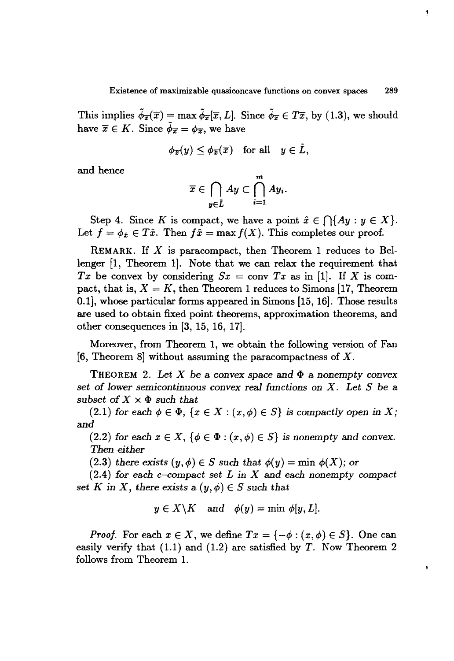This implies  $\tilde{\phi}_{\overline{x}}(\overline{x}) = \max \tilde{\phi}_{\overline{x}}(\overline{x}, L]$ . Since  $\tilde{\phi}_{\overline{x}} \in T\overline{x}$ , by (1.3), we should have  $\bar{x} \in K$ . Since  $\bar{\phi}_{\bar{x}} = \phi_{\bar{x}}$ , we have

$$
\phi_{\overline{x}}(y) \leq \phi_{\overline{x}}(\overline{x}) \quad \text{for all} \quad y \in \tilde{L},
$$

and hence

$$
\overline{x}\in \bigcap_{y\in L}Ay\subset \bigcap_{i=1}^m Ay_i.
$$

Step 4. Since *K* is compact, we have a point  $\hat{x} \in \bigcap \{Ay : y \in X\}.$ Let  $f = \phi_{\hat{x}} \in T\hat{x}$ . Then  $f\hat{x} = \max f(X)$ . This completes our proof.

REMARK. If *X* is paracompact, then Theorem 1 reduces to Bellenger [1, Theorem 1]. Note that we can relax the requirement that *Tx* be convex by considering  $Sx = \text{conv } Tx$  as in [1]. If *X* is compact, that is,  $X = K$ , then Theorem 1 reduces to Simons [17, Theorem 0.1], whose particular forms appeared in Simons [15, 16]. Those results are used to obtain fixed point theorems, approximation theorems, and other consequences in [3, 15, 16, 17].

Moreover, from Theorem 1, we obtain the following version of Fan [6, Theorem 8] without assuming the paracompactness of  $X$ .

THEOREM 2. Let X be a convex space and  $\Phi$  a nonempty convex *set* of *lower semicontinuous convex* real *functions* on *X. Let S* be a *subset* of  $X \times \Phi$  *such that* 

 $(2.1)$  *for* each  $\phi \in \Phi$ ,  $\{x \in X : (x, \phi) \in S\}$  *is compactly open in X;* and

 $(2.2)$  *for each*  $x \in X$ ,  $\{\phi \in \Phi : (x, \phi) \in S\}$  *is nonempty and convex. Then either*

 $(2.3)$  *there exists*  $(y, \phi) \in S$  *such that*  $\phi(y) = \min \phi(X)$ *;* or

*(2.4) for* each c-compact *set L* in *X* and each *nonempty* compact *set K* in *X*, *there exists*  $a(y, \phi) \in S$  *such that* 

$$
y \in X \backslash K \quad \text{and} \quad \phi(y) = \min \phi[y, L].
$$

*Proof.* For each  $x \in X$ , we define  $Tx = \{-\phi : (x, \phi) \in S\}$ . One can easily verify that  $(1.1)$  and  $(1.2)$  are satisfied by T. Now Theorem 2 follows from Theorem 1.

 $\hat{\mathbf{e}}$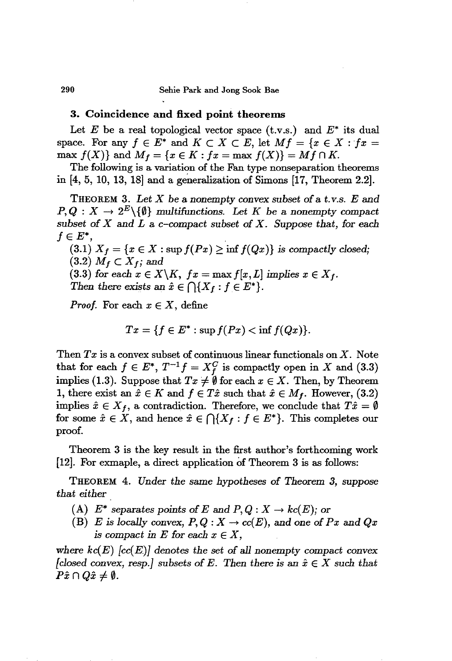### 290 Sehie Park and Jong Sook Bae

### **3. Coincidence and fixed point theorems**

Let *E* be a *real* topological vector space (t.v.s.) and *E\** its dual space. For any  $f \in E^*$  and  $K \subset X \subset E$ , let  $Mf = \{x \in X : fx =$  $\max f(X)$ } and  $M_f = \{x \in K : fx = \max f(X)\} = Mf \cap K.$ 

The following is a variation of the Fan type nonseparation theorems in  $[4, 5, 10, 13, 18]$  and a generalization of Simons  $[17,$  Theorem 2.2].

THEOREM 3. *Let X* be a nonempty convex *subset* of a t. *v.s. E* and  $P, Q: X \to 2^E \setminus \{\emptyset\}$  *multifunctions.* Let *K* be a nonempty compact subset of  $X$  and  $L$  a c-compact subset of  $X$ . Suppose that, for each  $f\in E^*$ ,

 $(3.1)$   $X_f = \{x \in X : \sup f(Px) \ge \inf f(Qx)\}\$ is compactly closed;  $(3.2)$   $M_f \subset X_f$ ; and

(3.3) for each  $x \in X \backslash K$ ,  $fx = \max f[x, L]$  implies  $x \in X_f$ . *Then there exists an*  $\hat{x} \in \bigcap \{X_f : f \in E^*\}.$ 

*Proof.* For each  $x \in X$ , define

$$
Tx = \{f \in E^* : \sup f(Px) < \inf f(Qx)\}.
$$

Then *Tx* is a convex subset of continuous linear functionals on X. Note that for each  $f \in E^*$ ,  $T^{-1}f = X_f^C$  is compactly open in *X* and (3.3) implies (1.3). Suppose that  $Tx \neq \emptyset$  for each  $x \in X$ . Then, by Theorem 1, there exist an  $\hat{x} \in K$  and  $f \in T\hat{x}$  such that  $\hat{x} \in M_f$ . However, (3.2) implies  $\hat{x} \in X_f$ , a contradiction. Therefore, we conclude that  $T\hat{x} = \emptyset$ for some  $\hat{x} \in X$ , and hence  $\hat{x} \in \bigcap \{X_f : f \in E^*\}$ . This completes our proof.

Theorem 3 is the key result in the first author's forthcoming work [12]. For exmaple, a direct application of Theorem 3 is as follows:

THEOREM 4. *Under the* same *hypotheses* of *Theorem* 3, *suppose that either*

- (A)  $E^*$  separates points of *E* and  $P, Q: X \to kc(E)$ ; or
- (B) *E* is locally convex,  $P, Q: X \to cc(E)$ , and one of *Px* and *Qx is compact* in *E* for *each*  $x \in X$ ,

where  $k\epsilon(E)$   $[cc(E)]$  denotes the set of all nonempty compact convex *[closed convex, resp.]* subsets of *E.* Then there is an  $\hat{x} \in X$  such that  $P\hat{x} \cap Q\hat{x} \neq \emptyset$ .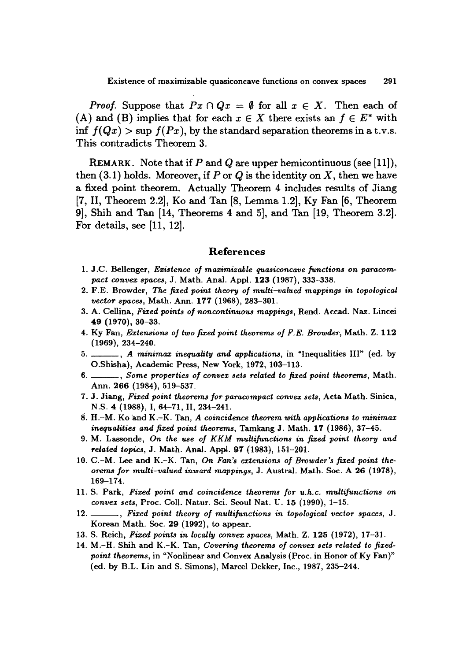*Proof.* Suppose that  $Px \cap Qx = \emptyset$  for all  $x \in X$ . Then each of (A) and (B) implies that for each  $x \in X$  there exists an  $f \in E^*$  with inf  $f(Qx) > \sup f(Px)$ , by the standard separation theorems in a t.v.s. This contradicts Theorem 3.

REMARK. Note that if  $P$  and  $Q$  are upper hemicontinuous (see [11]), then  $(3.1)$  holds. Moreover, if P or Q is the identity on X, then we have a fixed point theorem. Actually Theorem 4 includes results of Jiang [7,11, Theorem 2.2], Ko and Tan [8, Lemma 1.2], Ky Fan [6, Theorem 9], Shih and Tan [14, Theorems 4 and 5], and Tan [19, Theorem 3.2]. For details, see [11, 12].

### References

- 1. J.C. BeIIenger, *Existence of maximizable quasiconcave functions on paracompact convex spaces,* J. Math. Anal. Appl. 123 (1987), 333-338.
- 2. F.E. Browder, *The fixed point theory of multi-1lalued mappings in topological vector spaces, Math. Ann.* 177 (1968), 283-301.
- 3. A. CelIina, *Fixed points of noncontinuous mappings,* Rend. Accad. Naz. Lincei 49 (1970), 30-33.
- 4. Ky Fan, *Extensions of two fixed point theorems of F.E. Browder,* Math. Z. 112 (1969), 234-240.
- 5. , *A minimax inequality and applications,* in "Inequalities Ill" (ed. by O.Shisha), Academic Press, New York, 1972, 103-113.
- 6. , *Some properties of convex sets related to fixed point theorems,* Math. Ann. 266 (1984), 519-537.
- 7. J. Jiang, *Fixed point theorems for paracompact convex sets,* Acta Math. Sinica, N.S. 4 (1988), I, 64-71, 11, 234-241.
- 8. H.-M. Ko 'and K.-K. Tan, *A coincidence theorem with applications to minimax inequalities and fixed point theorems,* TamkangJ. Math.l1 (1986), 37-45.
- 9. M. Lassonde, *On the use of KKM multifunctions in fixed point theory and related topics*, J. Math. Anal. Appl. 97 (1983), 151-201.
- 10. C.-M. Lee and K.-K. Tan, *On Fan's extensions of Browder's fixed point theorems for multi-valued inward mappings, J. Austral. Math. Soc. A 26 (1978),* 169-174.
- 11. S. Park, *Fixed point and coincidence theorems for u.h.c. multifunctions on convex sets,* Proc. Coli. Natur. Sci. Seoul Nat. U. 15 (1990), 1-15.
- 12. , *Fixed point theory of multifunctions in topological vector spaces,* J. Korean Math. Soc. 29 (1992), to appear.
- 13. S. Reich, *Fixed points in locally convex spaces,* Math. Z. 125 (1972), 17-31.
- 14. M.-H. Shih and K.-K. Tan, *Covering theorems of convex sets related to fixedpoint theorems,* in "Nonlinear and Convex Analysis (Proc. in Honor of Ky Fan)" (ed. by B.L. Lin and S. Simons), Marcel Dekker, Inc., 1987, 235-244.